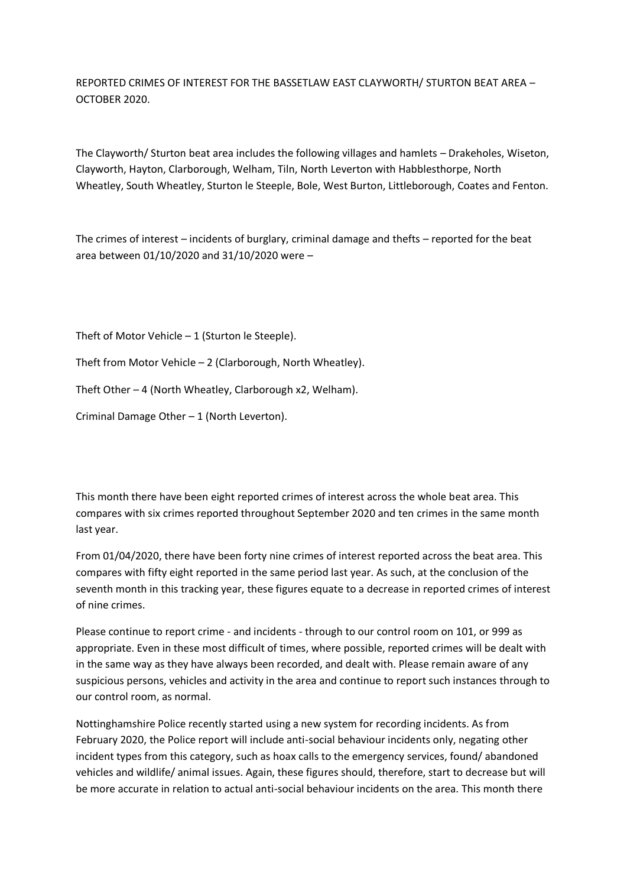REPORTED CRIMES OF INTEREST FOR THE BASSETLAW EAST CLAYWORTH/ STURTON BEAT AREA – OCTOBER 2020.

The Clayworth/ Sturton beat area includes the following villages and hamlets – Drakeholes, Wiseton, Clayworth, Hayton, Clarborough, Welham, Tiln, North Leverton with Habblesthorpe, North Wheatley, South Wheatley, Sturton le Steeple, Bole, West Burton, Littleborough, Coates and Fenton.

The crimes of interest – incidents of burglary, criminal damage and thefts – reported for the beat area between 01/10/2020 and 31/10/2020 were –

Theft of Motor Vehicle – 1 (Sturton le Steeple).

Theft from Motor Vehicle – 2 (Clarborough, North Wheatley).

Theft Other – 4 (North Wheatley, Clarborough x2, Welham).

Criminal Damage Other – 1 (North Leverton).

This month there have been eight reported crimes of interest across the whole beat area. This compares with six crimes reported throughout September 2020 and ten crimes in the same month last year.

From 01/04/2020, there have been forty nine crimes of interest reported across the beat area. This compares with fifty eight reported in the same period last year. As such, at the conclusion of the seventh month in this tracking year, these figures equate to a decrease in reported crimes of interest of nine crimes.

Please continue to report crime - and incidents - through to our control room on 101, or 999 as appropriate. Even in these most difficult of times, where possible, reported crimes will be dealt with in the same way as they have always been recorded, and dealt with. Please remain aware of any suspicious persons, vehicles and activity in the area and continue to report such instances through to our control room, as normal.

Nottinghamshire Police recently started using a new system for recording incidents. As from February 2020, the Police report will include anti-social behaviour incidents only, negating other incident types from this category, such as hoax calls to the emergency services, found/ abandoned vehicles and wildlife/ animal issues. Again, these figures should, therefore, start to decrease but will be more accurate in relation to actual anti-social behaviour incidents on the area. This month there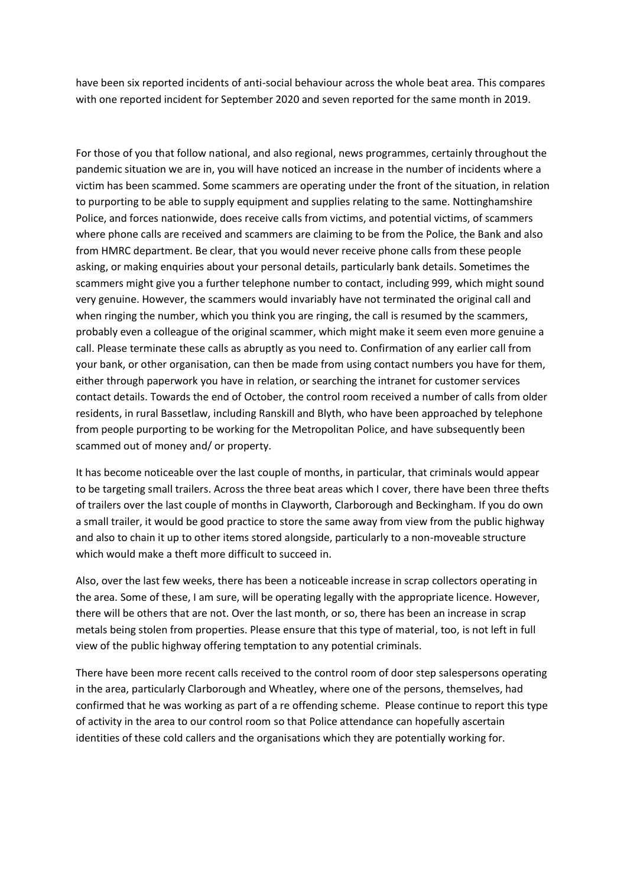have been six reported incidents of anti-social behaviour across the whole beat area. This compares with one reported incident for September 2020 and seven reported for the same month in 2019.

For those of you that follow national, and also regional, news programmes, certainly throughout the pandemic situation we are in, you will have noticed an increase in the number of incidents where a victim has been scammed. Some scammers are operating under the front of the situation, in relation to purporting to be able to supply equipment and supplies relating to the same. Nottinghamshire Police, and forces nationwide, does receive calls from victims, and potential victims, of scammers where phone calls are received and scammers are claiming to be from the Police, the Bank and also from HMRC department. Be clear, that you would never receive phone calls from these people asking, or making enquiries about your personal details, particularly bank details. Sometimes the scammers might give you a further telephone number to contact, including 999, which might sound very genuine. However, the scammers would invariably have not terminated the original call and when ringing the number, which you think you are ringing, the call is resumed by the scammers, probably even a colleague of the original scammer, which might make it seem even more genuine a call. Please terminate these calls as abruptly as you need to. Confirmation of any earlier call from your bank, or other organisation, can then be made from using contact numbers you have for them, either through paperwork you have in relation, or searching the intranet for customer services contact details. Towards the end of October, the control room received a number of calls from older residents, in rural Bassetlaw, including Ranskill and Blyth, who have been approached by telephone from people purporting to be working for the Metropolitan Police, and have subsequently been scammed out of money and/ or property.

It has become noticeable over the last couple of months, in particular, that criminals would appear to be targeting small trailers. Across the three beat areas which I cover, there have been three thefts of trailers over the last couple of months in Clayworth, Clarborough and Beckingham. If you do own a small trailer, it would be good practice to store the same away from view from the public highway and also to chain it up to other items stored alongside, particularly to a non-moveable structure which would make a theft more difficult to succeed in.

Also, over the last few weeks, there has been a noticeable increase in scrap collectors operating in the area. Some of these, I am sure, will be operating legally with the appropriate licence. However, there will be others that are not. Over the last month, or so, there has been an increase in scrap metals being stolen from properties. Please ensure that this type of material, too, is not left in full view of the public highway offering temptation to any potential criminals.

There have been more recent calls received to the control room of door step salespersons operating in the area, particularly Clarborough and Wheatley, where one of the persons, themselves, had confirmed that he was working as part of a re offending scheme. Please continue to report this type of activity in the area to our control room so that Police attendance can hopefully ascertain identities of these cold callers and the organisations which they are potentially working for.